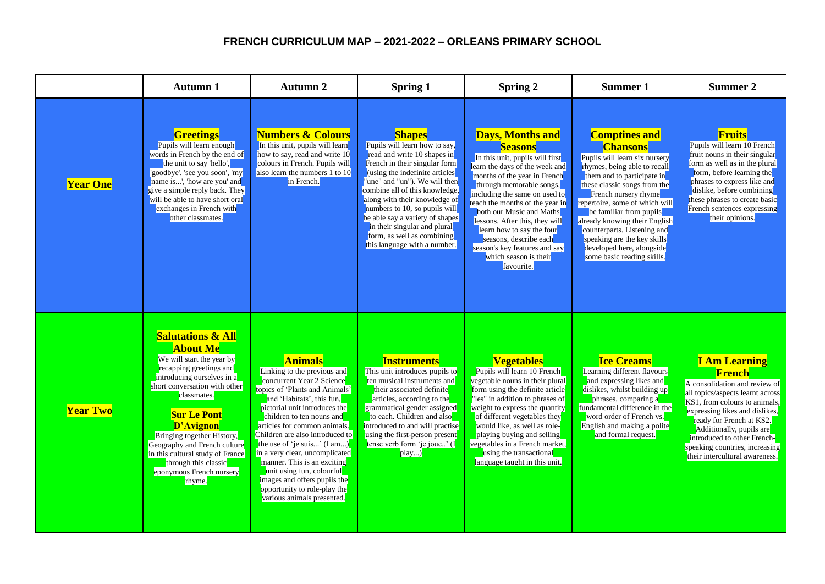## **FRENCH CURRICULUM MAP – 2021-2022 – ORLEANS PRIMARY SCHOOL**

|                 | <b>Autumn 1</b>                                                                                                                                                                                                                                                                                                                                                                          | Autumn 2                                                                                                                                                                                                                                                                                                                                                                                                                                                                                              | <b>Spring 1</b>                                                                                                                                                                                                                                                                                                                                                                                                        | <b>Spring 2</b>                                                                                                                                                                                                                                                                                                                                                                                                                             | Summer 1                                                                                                                                                                                                                                                                                                                                                                                                              | Summer <sub>2</sub>                                                                                                                                                                                                                                                                                                                      |
|-----------------|------------------------------------------------------------------------------------------------------------------------------------------------------------------------------------------------------------------------------------------------------------------------------------------------------------------------------------------------------------------------------------------|-------------------------------------------------------------------------------------------------------------------------------------------------------------------------------------------------------------------------------------------------------------------------------------------------------------------------------------------------------------------------------------------------------------------------------------------------------------------------------------------------------|------------------------------------------------------------------------------------------------------------------------------------------------------------------------------------------------------------------------------------------------------------------------------------------------------------------------------------------------------------------------------------------------------------------------|---------------------------------------------------------------------------------------------------------------------------------------------------------------------------------------------------------------------------------------------------------------------------------------------------------------------------------------------------------------------------------------------------------------------------------------------|-----------------------------------------------------------------------------------------------------------------------------------------------------------------------------------------------------------------------------------------------------------------------------------------------------------------------------------------------------------------------------------------------------------------------|------------------------------------------------------------------------------------------------------------------------------------------------------------------------------------------------------------------------------------------------------------------------------------------------------------------------------------------|
| <b>Year One</b> | <b>Greetings</b><br>Pupils will learn enough<br>words in French by the end of<br>the unit to say 'hello'.<br>'goodbye', 'see you soon', 'my<br>name is', 'how are you' and<br>give a simple reply back. They<br>will be able to have short oral<br>exchanges in French with<br>other classmates.                                                                                         | <b>Numbers &amp; Colours</b><br>In this unit, pupils will learn<br>how to say, read and write 10<br>colours in French. Pupils will<br>also learn the numbers 1 to 10<br>in French.                                                                                                                                                                                                                                                                                                                    | <b>Shapes</b><br>Pupils will learn how to say,<br>read and write 10 shapes in<br>French in their singular form<br>(using the indefinite articles<br>"une" and "un"). We will then<br>combine all of this knowledge,<br>along with their knowledge of<br>numbers to 10, so pupils will<br>be able say a variety of shapes<br>in their singular and plural<br>form, as well as combining<br>this language with a number. | <b>Days, Months and</b><br><b>Seasons</b><br>In this unit, pupils will first<br>learn the days of the week and<br>months of the year in French<br>through memorable songs,<br>including the same on used to<br>teach the months of the year in<br>both our Music and Maths<br>lessons. After this, they will<br>learn how to say the four<br>seasons, describe each<br>season's key features and say<br>which season is their<br>favourite. | <b>Comptines and</b><br><b>Chansons</b><br>Pupils will learn six nursery<br>rhymes, being able to recall<br>them and to participate in<br>these classic songs from the<br>French nursery rhyme<br>repertoire, some of which will<br>be familiar from pupils<br>already knowing their English<br>counterparts. Listening and<br>speaking are the key skills<br>developed here, alongside<br>some basic reading skills. | <b>Fruits</b><br>Pupils will learn 10 French<br>fruit nouns in their singular<br>form as well as in the plural<br>form, before learning the<br>phrases to express like and<br>dislike, before combining<br>these phrases to create basic<br>French sentences expressing<br>their opinions.                                               |
| <b>Year Two</b> | <b>Salutations &amp; All</b><br><b>About Me</b><br>We will start the year by<br>recapping greetings and<br>introducing ourselves in a<br>short conversation with other<br>classmates.<br><b>Sur Le Pont</b><br>D'Avignon<br>Bringing together History,<br>Geography and French culture<br>in this cultural study of France<br>through this classic<br>eponymous French nursery<br>rhyme. | <b>Animals</b><br>Linking to the previous and<br>concurrent Year 2 Science<br>topics of 'Plants and Animals'<br>and 'Habitats', this fun,<br>pictorial unit introduces the<br>children to ten nouns and<br>articles for common animals.<br>Children are also introduced to<br>the use of 'je suis' (I am)<br>in a very clear, uncomplicated<br>manner. This is an exciting<br>unit using fun, colourful<br>images and offers pupils the<br>opportunity to role-play the<br>various animals presented. | <b>Instruments</b><br>This unit introduces pupils to<br>ten musical instruments and<br>their associated definite<br>articles, according to the<br>grammatical gender assigned<br>to each. Children and also<br>introduced to and will practise<br>using the first-person present<br>tense verb form 'je joue' (I<br>play)                                                                                              | <b>Vegetables</b><br>Pupils will learn 10 French<br>vegetable nouns in their plural<br>form using the definite article<br>"les" in addition to phrases of<br>weight to express the quantity<br>of different vegetables they<br>would like, as well as role-<br>playing buying and selling<br>vegetables in a French market,<br>using the transactional<br>language taught in this unit.                                                     | <b>Ice Creams</b><br>Learning different flavours<br>and expressing likes and<br>dislikes, whilst building up<br>phrases, comparing a<br>fundamental difference in the<br>word order of French vs.<br>English and making a polite<br>and formal request.                                                                                                                                                               | <b>I Am Learning</b><br><b>French</b><br>A consolidation and review of<br>all topics/aspects learnt across<br>KS1, from colours to animals,<br>expressing likes and dislikes,<br>ready for French at KS2.<br>Additionally, pupils are<br>introduced to other French-<br>speaking countries, increasing<br>their intercultural awareness. |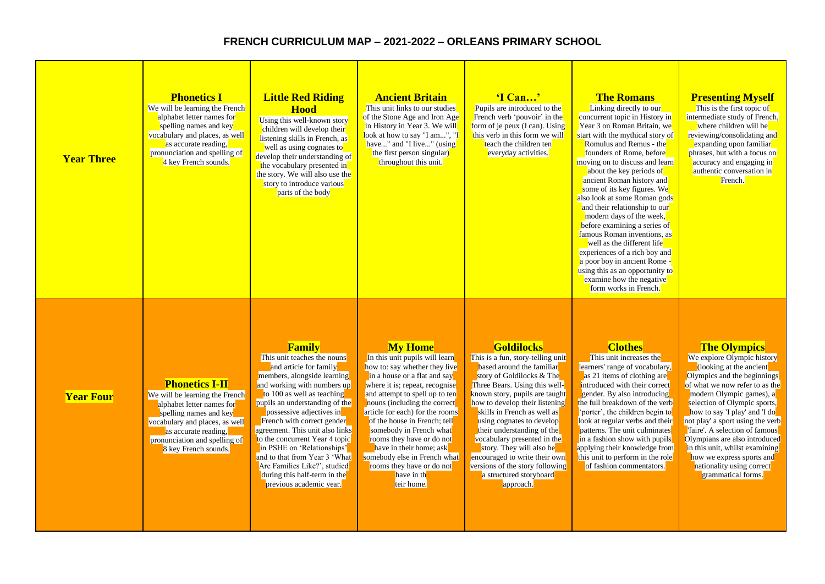## **FRENCH CURRICULUM MAP – 2021-2022 – ORLEANS PRIMARY SCHOOL**

| <b>Year Three</b> | <b>Phonetics I</b><br>We will be learning the French<br>alphabet letter names for<br>spelling names and key<br>vocabulary and places, as well<br>as accurate reading,<br>pronunciation and spelling of<br>4 key French sounds.    | <b>Little Red Riding</b><br><b>Hood</b><br>Using this well-known story<br>children will develop their<br>listening skills in French, as<br>well as using cognates to<br>develop their understanding of<br>the vocabulary presented in<br>the story. We will also use the<br>story to introduce various<br>parts of the body                                                                                                                                                            | <b>Ancient Britain</b><br>This unit links to our studies<br>of the Stone Age and Iron Age<br>in History in Year 3. We will<br>look at how to say "I am", "I<br>have" and "I live" (using<br>the first person singular)<br>throughout this unit.                                                                                                                                                                                                                      | 'I Can'<br>Pupils are introduced to the<br>French verb 'pouvoir' in the<br>form of je peux $(I can)$ . Using<br>this verb in this form we will<br>teach the children ten<br>everyday activities.                                                                                                                                                                                                                                                                                       | <b>The Romans</b><br>Linking directly to our<br>concurrent topic in History in<br>Year 3 on Roman Britain, we<br>start with the mythical story of<br>Romulus and Remus - the<br>founders of Rome, before<br>moving on to discuss and learn<br>about the key periods of<br>ancient Roman history and<br>some of its key figures. We<br>also look at some Roman gods<br>and their relationship to our<br>modern days of the week,<br>before examining a series of<br>famous Roman inventions, as<br>well as the different life<br>experiences of a rich boy and<br>a poor boy in ancient Rome -<br>using this as an opportunity to<br>examine how the negative<br>form works in French. | <b>Presenting Myself</b><br>This is the first topic of<br>intermediate study of French,<br>where children will be<br>reviewing/consolidating and<br>expanding upon familiar<br>phrases, but with a focus on<br>accuracy and engaging in<br>authentic conversation in<br>French.                                                                                                                                                                                     |
|-------------------|-----------------------------------------------------------------------------------------------------------------------------------------------------------------------------------------------------------------------------------|----------------------------------------------------------------------------------------------------------------------------------------------------------------------------------------------------------------------------------------------------------------------------------------------------------------------------------------------------------------------------------------------------------------------------------------------------------------------------------------|----------------------------------------------------------------------------------------------------------------------------------------------------------------------------------------------------------------------------------------------------------------------------------------------------------------------------------------------------------------------------------------------------------------------------------------------------------------------|----------------------------------------------------------------------------------------------------------------------------------------------------------------------------------------------------------------------------------------------------------------------------------------------------------------------------------------------------------------------------------------------------------------------------------------------------------------------------------------|---------------------------------------------------------------------------------------------------------------------------------------------------------------------------------------------------------------------------------------------------------------------------------------------------------------------------------------------------------------------------------------------------------------------------------------------------------------------------------------------------------------------------------------------------------------------------------------------------------------------------------------------------------------------------------------|---------------------------------------------------------------------------------------------------------------------------------------------------------------------------------------------------------------------------------------------------------------------------------------------------------------------------------------------------------------------------------------------------------------------------------------------------------------------|
| <b>Year Four</b>  | <b>Phonetics I-II</b><br>We will be learning the French<br>alphabet letter names for<br>spelling names and key<br>vocabulary and places, as well<br>as accurate reading,<br>pronunciation and spelling of<br>8 key French sounds. | Family<br>This unit teaches the nouns<br>and article for family<br>members, alongside learning<br>and working with numbers up<br>to 100 as well as teaching<br>pupils an understanding of the<br>possessive adjectives in<br>French with correct gender<br>agreement. This unit also links<br>to the concurrent Year 4 topic<br>in PSHE on 'Relationships'<br>and to that from Year 3 'What<br>Are Families Like?', studied<br>during this half-term in the<br>previous academic year. | <b>My Home</b><br>In this unit pupils will learn<br>how to: say whether they live<br>in a house or a flat and say<br>where it is; repeat, recognise<br>and attempt to spell up to ten<br>nouns (including the correct<br>article for each) for the rooms<br>of the house in French; tell<br>somebody in French what<br>rooms they have or do not<br>have in their home: ask<br>somebody else in French what<br>rooms they have or do not<br>have in th<br>teir home. | <b>Goldilocks</b><br>This is a fun, story-telling unit<br>based around the familiar<br>story of Goldilocks & The<br>Three Bears. Using this well-<br>known story, pupils are taught<br>how to develop their listening<br>skills in French as well as<br>using cognates to develop<br>their understanding of the<br>vocabulary presented in the<br>story. They will also be<br>encouraged to write their own<br>versions of the story following<br>a structured storyboard<br>approach. | <b>Clothes</b><br>This unit increases the<br>learners' range of vocabulary,<br>as 21 items of clothing are<br>introduced with their correct<br>gender. By also introducing<br>the full breakdown of the verb<br>'porter', the children begin to<br>look at regular verbs and their<br>patterns. The unit culminates<br>in a fashion show with pupils<br>applying their knowledge from<br>this unit to perform in the role<br>of fashion commentators.                                                                                                                                                                                                                                 | <b>The Olympics</b><br>We explore Olympic history<br>(looking at the ancient<br>Olympics and the beginnings<br>of what we now refer to as the<br>modern Olympic games), a<br>selection of Olympic sports,<br>how to say 'I play' and 'I do<br>not play' a sport using the verb<br>'faire'. A selection of famous<br>Olympians are also introduced<br>in this unit, whilst examining<br>how we express sports and<br>nationality using correct<br>grammatical forms. |